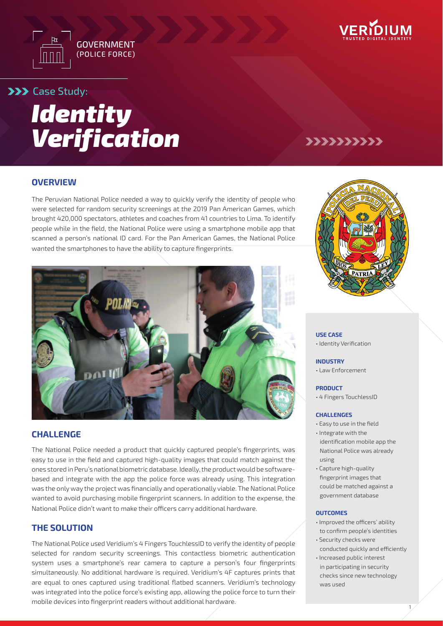



## **>>>** Case Study:



### **OVERVIEW**

The Peruvian National Police needed a way to quickly verify the identity of people who were selected for random security screenings at the 2019 Pan American Games, which brought 420,000 spectators, athletes and coaches from 41 countries to Lima. To identify people while in the field, the National Police were using a smartphone mobile app that scanned a person's national ID card. For the Pan American Games, the National Police wanted the smartphones to have the ability to capture fingerprints.



### **CHALLENGE**

The National Police needed a product that quickly captured people's fingerprints, was easy to use in the field and captured high-quality images that could match against the ones stored in Peru's national biometric database. Ideally, the product would be softwarebased and integrate with the app the police force was already using. This integration was the only way the project was financially and operationally viable. The National Police wanted to avoid purchasing mobile fingerprint scanners. In addition to the expense, the National Police didn't want to make their officers carry additional hardware.

### **THE SOLUTION**

The National Police used Veridium's 4 Fingers TouchlessID to verify the identity of people selected for random security screenings. This contactless biometric authentication system uses a smartphone's rear camera to capture a person's four fingerprints simultaneously. No additional hardware is required. Veridium's 4F captures prints that are equal to ones captured using traditional flatbed scanners. Veridium's technology was integrated into the police force's existing app, allowing the police force to turn their mobile devices into fingerprint readers without additional hardware.



>>>>>>>>>>

#### **USE CASE**

• Identity Verification

#### **INDUSTRY**

• Law Enforcement

#### **PRODUCT**

• 4 Fingers TouchlessID

#### **CHALLENGES**

- Easy to use in the field
- Integrate with the identification mobile app the National Police was already using
- Capture high-quality fingerprint images that could be matched against a government database

#### **OUTCOMES**

- Improved the officers' ability to confirm people's identities
- Security checks were conducted quickly and efficiently • Increased public interest
- in participating in security checks since new technology was used